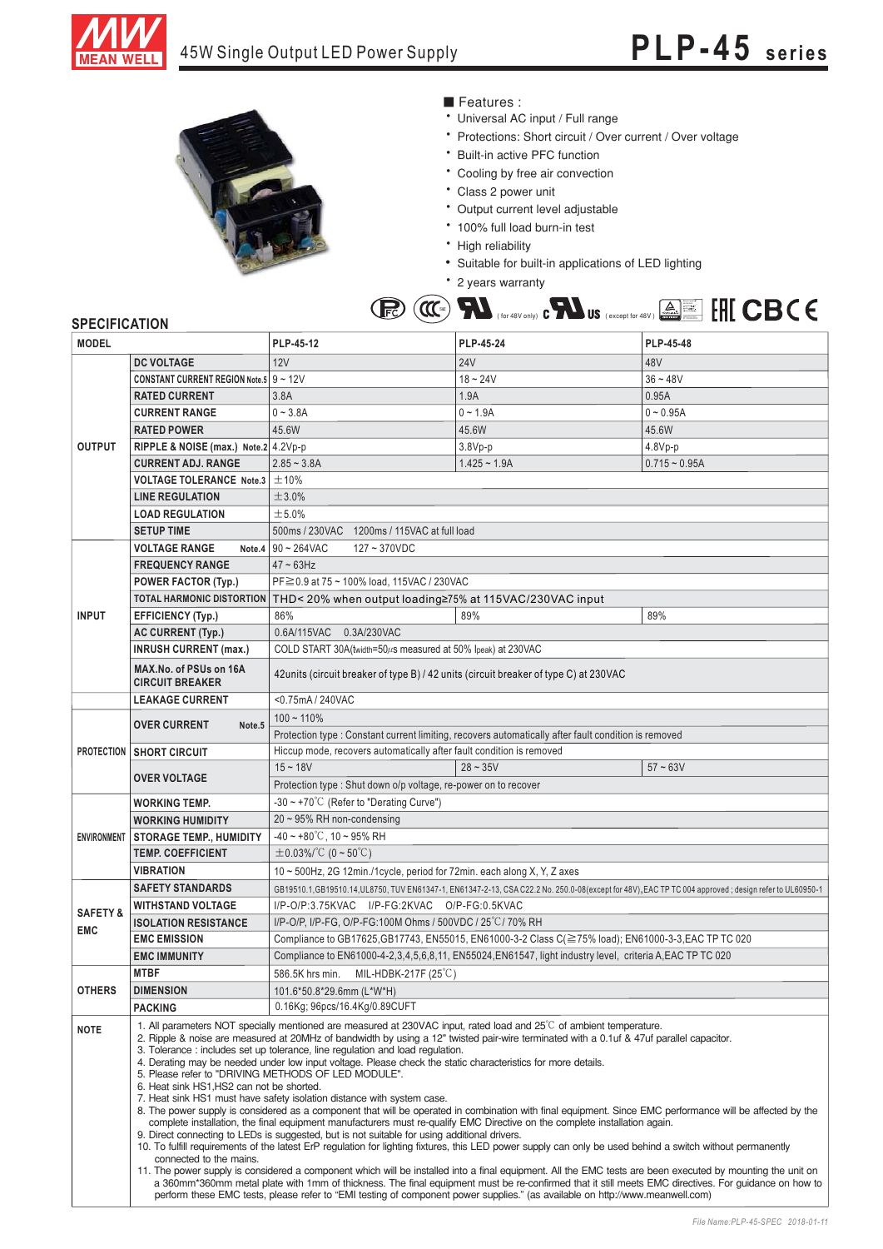



Features :

- Universal AC input / Full range
- \* Protections: Short circuit / Over current / Over voltage
- \* Built-in active PFC function
- \* Cooling by free air convection
- \* Class 2 power unit
- \* Output current level adjustable
- \* 100% full load burn-in test
- High reliability High reliability
- Suitable for built-in applications of LED lighting
- \* 2 years warranty

|  |  |  |  |  |  |  | <b>ID (ICE)</b> $\blacksquare$ (for 48V only) <b>C</b> $\blacksquare$ US (except for 48V) $\blacksquare$ EH[ CBC E |  |  |  |  |
|--|--|--|--|--|--|--|--------------------------------------------------------------------------------------------------------------------|--|--|--|--|
|--|--|--|--|--|--|--|--------------------------------------------------------------------------------------------------------------------|--|--|--|--|

## **SPECIFICATION**

| <b>MODEL</b>         |                                                                                                                                                                                                                                                                                                                                                                                                                                                                                                                                                                                                                                                                                                                                                                                                                                                                                                                                                                                                                                                                                                                                                                                                                                                                                                                                                                                                                                                                                                                                                          | PLP-45-12                                                                                                                                         | PLP-45-24                                                                                                                     | PLP-45-48       |  |  |  |  |
|----------------------|----------------------------------------------------------------------------------------------------------------------------------------------------------------------------------------------------------------------------------------------------------------------------------------------------------------------------------------------------------------------------------------------------------------------------------------------------------------------------------------------------------------------------------------------------------------------------------------------------------------------------------------------------------------------------------------------------------------------------------------------------------------------------------------------------------------------------------------------------------------------------------------------------------------------------------------------------------------------------------------------------------------------------------------------------------------------------------------------------------------------------------------------------------------------------------------------------------------------------------------------------------------------------------------------------------------------------------------------------------------------------------------------------------------------------------------------------------------------------------------------------------------------------------------------------------|---------------------------------------------------------------------------------------------------------------------------------------------------|-------------------------------------------------------------------------------------------------------------------------------|-----------------|--|--|--|--|
|                      | <b>DC VOLTAGE</b>                                                                                                                                                                                                                                                                                                                                                                                                                                                                                                                                                                                                                                                                                                                                                                                                                                                                                                                                                                                                                                                                                                                                                                                                                                                                                                                                                                                                                                                                                                                                        | 12V                                                                                                                                               | <b>24V</b>                                                                                                                    | 48V             |  |  |  |  |
| <b>OUTPUT</b>        | <b>CONSTANT CURRENT REGION Note 5 9 ~ 12V</b>                                                                                                                                                                                                                                                                                                                                                                                                                                                                                                                                                                                                                                                                                                                                                                                                                                                                                                                                                                                                                                                                                                                                                                                                                                                                                                                                                                                                                                                                                                            |                                                                                                                                                   | $18 - 24V$                                                                                                                    | $36 - 48V$      |  |  |  |  |
|                      | <b>RATED CURRENT</b>                                                                                                                                                                                                                                                                                                                                                                                                                                                                                                                                                                                                                                                                                                                                                                                                                                                                                                                                                                                                                                                                                                                                                                                                                                                                                                                                                                                                                                                                                                                                     | 3.8A                                                                                                                                              | 1.9A                                                                                                                          | 0.95A           |  |  |  |  |
|                      | <b>CURRENT RANGE</b>                                                                                                                                                                                                                                                                                                                                                                                                                                                                                                                                                                                                                                                                                                                                                                                                                                                                                                                                                                                                                                                                                                                                                                                                                                                                                                                                                                                                                                                                                                                                     | $0 - 3.8A$                                                                                                                                        | $0 - 1.9A$                                                                                                                    | $0 - 0.95A$     |  |  |  |  |
|                      | <b>RATED POWER</b>                                                                                                                                                                                                                                                                                                                                                                                                                                                                                                                                                                                                                                                                                                                                                                                                                                                                                                                                                                                                                                                                                                                                                                                                                                                                                                                                                                                                                                                                                                                                       | 45.6W                                                                                                                                             | 45.6W                                                                                                                         | 45.6W           |  |  |  |  |
|                      | RIPPLE & NOISE (max.) Note.2 4.2Vp-p                                                                                                                                                                                                                                                                                                                                                                                                                                                                                                                                                                                                                                                                                                                                                                                                                                                                                                                                                                                                                                                                                                                                                                                                                                                                                                                                                                                                                                                                                                                     |                                                                                                                                                   | $3.8Vp-p$                                                                                                                     | $4.8Vp-p$       |  |  |  |  |
|                      | <b>CURRENT ADJ. RANGE</b>                                                                                                                                                                                                                                                                                                                                                                                                                                                                                                                                                                                                                                                                                                                                                                                                                                                                                                                                                                                                                                                                                                                                                                                                                                                                                                                                                                                                                                                                                                                                | $2.85 - 3.8A$                                                                                                                                     | $1.425 - 1.9A$                                                                                                                | $0.715 - 0.95A$ |  |  |  |  |
|                      | <b>VOLTAGE TOLERANCE Note.3</b>                                                                                                                                                                                                                                                                                                                                                                                                                                                                                                                                                                                                                                                                                                                                                                                                                                                                                                                                                                                                                                                                                                                                                                                                                                                                                                                                                                                                                                                                                                                          | ±10%                                                                                                                                              |                                                                                                                               |                 |  |  |  |  |
|                      | <b>LINE REGULATION</b>                                                                                                                                                                                                                                                                                                                                                                                                                                                                                                                                                                                                                                                                                                                                                                                                                                                                                                                                                                                                                                                                                                                                                                                                                                                                                                                                                                                                                                                                                                                                   | ±3.0%                                                                                                                                             |                                                                                                                               |                 |  |  |  |  |
|                      | <b>LOAD REGULATION</b>                                                                                                                                                                                                                                                                                                                                                                                                                                                                                                                                                                                                                                                                                                                                                                                                                                                                                                                                                                                                                                                                                                                                                                                                                                                                                                                                                                                                                                                                                                                                   | ±5.0%                                                                                                                                             |                                                                                                                               |                 |  |  |  |  |
|                      | <b>SETUP TIME</b>                                                                                                                                                                                                                                                                                                                                                                                                                                                                                                                                                                                                                                                                                                                                                                                                                                                                                                                                                                                                                                                                                                                                                                                                                                                                                                                                                                                                                                                                                                                                        | 500ms / 230VAC 1200ms / 115VAC at full load                                                                                                       |                                                                                                                               |                 |  |  |  |  |
| <b>VOLTAGE RANGE</b> |                                                                                                                                                                                                                                                                                                                                                                                                                                                                                                                                                                                                                                                                                                                                                                                                                                                                                                                                                                                                                                                                                                                                                                                                                                                                                                                                                                                                                                                                                                                                                          | Note.4 $90 \sim 264$ VAC<br>$127 - 370$ VDC                                                                                                       |                                                                                                                               |                 |  |  |  |  |
|                      | <b>FREQUENCY RANGE</b>                                                                                                                                                                                                                                                                                                                                                                                                                                                                                                                                                                                                                                                                                                                                                                                                                                                                                                                                                                                                                                                                                                                                                                                                                                                                                                                                                                                                                                                                                                                                   | $47 \sim 63$ Hz                                                                                                                                   |                                                                                                                               |                 |  |  |  |  |
|                      | <b>POWER FACTOR (Typ.)</b>                                                                                                                                                                                                                                                                                                                                                                                                                                                                                                                                                                                                                                                                                                                                                                                                                                                                                                                                                                                                                                                                                                                                                                                                                                                                                                                                                                                                                                                                                                                               | PF ≥ 0.9 at 75 ~ 100% load, 115VAC / 230VAC                                                                                                       |                                                                                                                               |                 |  |  |  |  |
| <b>INPUT</b>         | <b>TOTAL HARMONIC DISTORTION</b>                                                                                                                                                                                                                                                                                                                                                                                                                                                                                                                                                                                                                                                                                                                                                                                                                                                                                                                                                                                                                                                                                                                                                                                                                                                                                                                                                                                                                                                                                                                         | THD< 20% when output loading≥75% at 115VAC/230VAC input                                                                                           |                                                                                                                               |                 |  |  |  |  |
|                      | EFFICIENCY (Typ.)                                                                                                                                                                                                                                                                                                                                                                                                                                                                                                                                                                                                                                                                                                                                                                                                                                                                                                                                                                                                                                                                                                                                                                                                                                                                                                                                                                                                                                                                                                                                        | 86%                                                                                                                                               | 89%                                                                                                                           | 89%             |  |  |  |  |
|                      | <b>AC CURRENT (Typ.)</b>                                                                                                                                                                                                                                                                                                                                                                                                                                                                                                                                                                                                                                                                                                                                                                                                                                                                                                                                                                                                                                                                                                                                                                                                                                                                                                                                                                                                                                                                                                                                 | 0.6A/115VAC 0.3A/230VAC                                                                                                                           |                                                                                                                               |                 |  |  |  |  |
|                      | <b>INRUSH CURRENT (max.)</b>                                                                                                                                                                                                                                                                                                                                                                                                                                                                                                                                                                                                                                                                                                                                                                                                                                                                                                                                                                                                                                                                                                                                                                                                                                                                                                                                                                                                                                                                                                                             | COLD START 30A(twidth=50µs measured at 50% Ipeak) at 230VAC                                                                                       |                                                                                                                               |                 |  |  |  |  |
|                      | MAX.No. of PSUs on 16A<br><b>CIRCUIT BREAKER</b>                                                                                                                                                                                                                                                                                                                                                                                                                                                                                                                                                                                                                                                                                                                                                                                                                                                                                                                                                                                                                                                                                                                                                                                                                                                                                                                                                                                                                                                                                                         | 42 units (circuit breaker of type B) / 42 units (circuit breaker of type C) at 230VAC                                                             |                                                                                                                               |                 |  |  |  |  |
|                      | <b>LEAKAGE CURRENT</b>                                                                                                                                                                                                                                                                                                                                                                                                                                                                                                                                                                                                                                                                                                                                                                                                                                                                                                                                                                                                                                                                                                                                                                                                                                                                                                                                                                                                                                                                                                                                   | <0.75mA/240VAC                                                                                                                                    |                                                                                                                               |                 |  |  |  |  |
|                      | <b>OVER CURRENT</b><br>Note.5                                                                                                                                                                                                                                                                                                                                                                                                                                                                                                                                                                                                                                                                                                                                                                                                                                                                                                                                                                                                                                                                                                                                                                                                                                                                                                                                                                                                                                                                                                                            | $100 - 110%$                                                                                                                                      |                                                                                                                               |                 |  |  |  |  |
|                      |                                                                                                                                                                                                                                                                                                                                                                                                                                                                                                                                                                                                                                                                                                                                                                                                                                                                                                                                                                                                                                                                                                                                                                                                                                                                                                                                                                                                                                                                                                                                                          | Protection type : Constant current limiting, recovers automatically after fault condition is removed                                              |                                                                                                                               |                 |  |  |  |  |
|                      | <b>PROTECTION   SHORT CIRCUIT</b>                                                                                                                                                                                                                                                                                                                                                                                                                                                                                                                                                                                                                                                                                                                                                                                                                                                                                                                                                                                                                                                                                                                                                                                                                                                                                                                                                                                                                                                                                                                        | Hiccup mode, recovers automatically after fault condition is removed                                                                              |                                                                                                                               |                 |  |  |  |  |
|                      |                                                                                                                                                                                                                                                                                                                                                                                                                                                                                                                                                                                                                                                                                                                                                                                                                                                                                                                                                                                                                                                                                                                                                                                                                                                                                                                                                                                                                                                                                                                                                          | $15 - 18V$                                                                                                                                        | $28 - 35V$                                                                                                                    | $57 - 63V$      |  |  |  |  |
|                      | <b>OVER VOLTAGE</b>                                                                                                                                                                                                                                                                                                                                                                                                                                                                                                                                                                                                                                                                                                                                                                                                                                                                                                                                                                                                                                                                                                                                                                                                                                                                                                                                                                                                                                                                                                                                      | Protection type : Shut down o/p voltage, re-power on to recover                                                                                   |                                                                                                                               |                 |  |  |  |  |
|                      | <b>WORKING TEMP.</b>                                                                                                                                                                                                                                                                                                                                                                                                                                                                                                                                                                                                                                                                                                                                                                                                                                                                                                                                                                                                                                                                                                                                                                                                                                                                                                                                                                                                                                                                                                                                     | $-30 \sim +70^{\circ}$ (Refer to "Derating Curve")                                                                                                |                                                                                                                               |                 |  |  |  |  |
|                      | <b>WORKING HUMIDITY</b>                                                                                                                                                                                                                                                                                                                                                                                                                                                                                                                                                                                                                                                                                                                                                                                                                                                                                                                                                                                                                                                                                                                                                                                                                                                                                                                                                                                                                                                                                                                                  | 20~95% RH non-condensing                                                                                                                          |                                                                                                                               |                 |  |  |  |  |
| <b>ENVIRONMENT</b>   | <b>STORAGE TEMP., HUMIDITY</b>                                                                                                                                                                                                                                                                                                                                                                                                                                                                                                                                                                                                                                                                                                                                                                                                                                                                                                                                                                                                                                                                                                                                                                                                                                                                                                                                                                                                                                                                                                                           | $-40 \sim +80^{\circ}$ C, 10 ~ 95% RH                                                                                                             |                                                                                                                               |                 |  |  |  |  |
|                      | <b>TEMP. COEFFICIENT</b>                                                                                                                                                                                                                                                                                                                                                                                                                                                                                                                                                                                                                                                                                                                                                                                                                                                                                                                                                                                                                                                                                                                                                                                                                                                                                                                                                                                                                                                                                                                                 | $\pm$ 0.03%/°C (0 ~ 50°C)                                                                                                                         |                                                                                                                               |                 |  |  |  |  |
|                      | <b>VIBRATION</b>                                                                                                                                                                                                                                                                                                                                                                                                                                                                                                                                                                                                                                                                                                                                                                                                                                                                                                                                                                                                                                                                                                                                                                                                                                                                                                                                                                                                                                                                                                                                         | 10 ~ 500Hz, 2G 12min./1cycle, period for 72min. each along X, Y, Z axes                                                                           |                                                                                                                               |                 |  |  |  |  |
|                      | <b>SAFETY STANDARDS</b>                                                                                                                                                                                                                                                                                                                                                                                                                                                                                                                                                                                                                                                                                                                                                                                                                                                                                                                                                                                                                                                                                                                                                                                                                                                                                                                                                                                                                                                                                                                                  | GB19510.1,GB19510.14,UL8750, TUV EN61347-1, EN61347-2-13, CSAC22.2 No. 250.0-08(except for 48V),EAC TP TC 004 approved; design refer to UL60950-1 |                                                                                                                               |                 |  |  |  |  |
| <b>SAFETY &amp;</b>  | <b>WITHSTAND VOLTAGE</b>                                                                                                                                                                                                                                                                                                                                                                                                                                                                                                                                                                                                                                                                                                                                                                                                                                                                                                                                                                                                                                                                                                                                                                                                                                                                                                                                                                                                                                                                                                                                 | I/P-O/P:3.75KVAC I/P-FG:2KVAC O/P-FG:0.5KVAC                                                                                                      |                                                                                                                               |                 |  |  |  |  |
| <b>EMC</b>           | <b>ISOLATION RESISTANCE</b>                                                                                                                                                                                                                                                                                                                                                                                                                                                                                                                                                                                                                                                                                                                                                                                                                                                                                                                                                                                                                                                                                                                                                                                                                                                                                                                                                                                                                                                                                                                              | I/P-O/P, I/P-FG, O/P-FG:100M Ohms / 500VDC / 25°C/70% RH                                                                                          |                                                                                                                               |                 |  |  |  |  |
|                      | <b>EMC EMISSION</b>                                                                                                                                                                                                                                                                                                                                                                                                                                                                                                                                                                                                                                                                                                                                                                                                                                                                                                                                                                                                                                                                                                                                                                                                                                                                                                                                                                                                                                                                                                                                      | Compliance to GB17625, GB17743, EN55015, EN61000-3-2 Class C(≧75% load); EN61000-3-3, EAC TP TC 020                                               |                                                                                                                               |                 |  |  |  |  |
|                      | <b>EMC IMMUNITY</b>                                                                                                                                                                                                                                                                                                                                                                                                                                                                                                                                                                                                                                                                                                                                                                                                                                                                                                                                                                                                                                                                                                                                                                                                                                                                                                                                                                                                                                                                                                                                      | Compliance to EN61000-4-2,3,4,5,6,8,11, EN55024, EN61547, light industry level, criteria A, EAC TP TC 020                                         |                                                                                                                               |                 |  |  |  |  |
| <b>OTHERS</b>        | <b>MTBF</b>                                                                                                                                                                                                                                                                                                                                                                                                                                                                                                                                                                                                                                                                                                                                                                                                                                                                                                                                                                                                                                                                                                                                                                                                                                                                                                                                                                                                                                                                                                                                              | 586.5K hrs min.<br>MIL-HDBK-217F (25 $\degree$ C)                                                                                                 |                                                                                                                               |                 |  |  |  |  |
|                      | <b>DIMENSION</b>                                                                                                                                                                                                                                                                                                                                                                                                                                                                                                                                                                                                                                                                                                                                                                                                                                                                                                                                                                                                                                                                                                                                                                                                                                                                                                                                                                                                                                                                                                                                         | 101.6*50.8*29.6mm (L*W*H)                                                                                                                         |                                                                                                                               |                 |  |  |  |  |
|                      | <b>PACKING</b>                                                                                                                                                                                                                                                                                                                                                                                                                                                                                                                                                                                                                                                                                                                                                                                                                                                                                                                                                                                                                                                                                                                                                                                                                                                                                                                                                                                                                                                                                                                                           | 0.16Kg; 96pcs/16.4Kg/0.89CUFT                                                                                                                     |                                                                                                                               |                 |  |  |  |  |
| <b>NOTE</b>          | 1. All parameters NOT specially mentioned are measured at 230VAC input, rated load and 25°C of ambient temperature.<br>2. Ripple & noise are measured at 20MHz of bandwidth by using a 12" twisted pair-wire terminated with a 0.1uf & 47uf parallel capacitor.<br>3. Tolerance: includes set up tolerance, line regulation and load regulation.<br>4. Derating may be needed under low input voltage. Please check the static characteristics for more details.<br>5. Please refer to "DRIVING METHODS OF LED MODULE".<br>6. Heat sink HS1, HS2 can not be shorted.<br>7. Heat sink HS1 must have safety isolation distance with system case.<br>8. The power supply is considered as a component that will be operated in combination with final equipment. Since EMC performance will be affected by the<br>complete installation, the final equipment manufacturers must re-qualify EMC Directive on the complete installation again.<br>9. Direct connecting to LEDs is suggested, but is not suitable for using additional drivers.<br>10. To fulfill requirements of the latest ErP regulation for lighting fixtures, this LED power supply can only be used behind a switch without permanently<br>connected to the mains.<br>11. The power supply is considered a component which will be installed into a final equipment. All the EMC tests are been executed by mounting the unit on<br>a 360mm*360mm metal plate with 1mm of thickness. The final equipment must be re-confirmed that it still meets EMC directives. For guidance on how to |                                                                                                                                                   |                                                                                                                               |                 |  |  |  |  |
|                      |                                                                                                                                                                                                                                                                                                                                                                                                                                                                                                                                                                                                                                                                                                                                                                                                                                                                                                                                                                                                                                                                                                                                                                                                                                                                                                                                                                                                                                                                                                                                                          |                                                                                                                                                   | perform these EMC tests, please refer to "EMI testing of component power supplies." (as available on http://www.meanwell.com) |                 |  |  |  |  |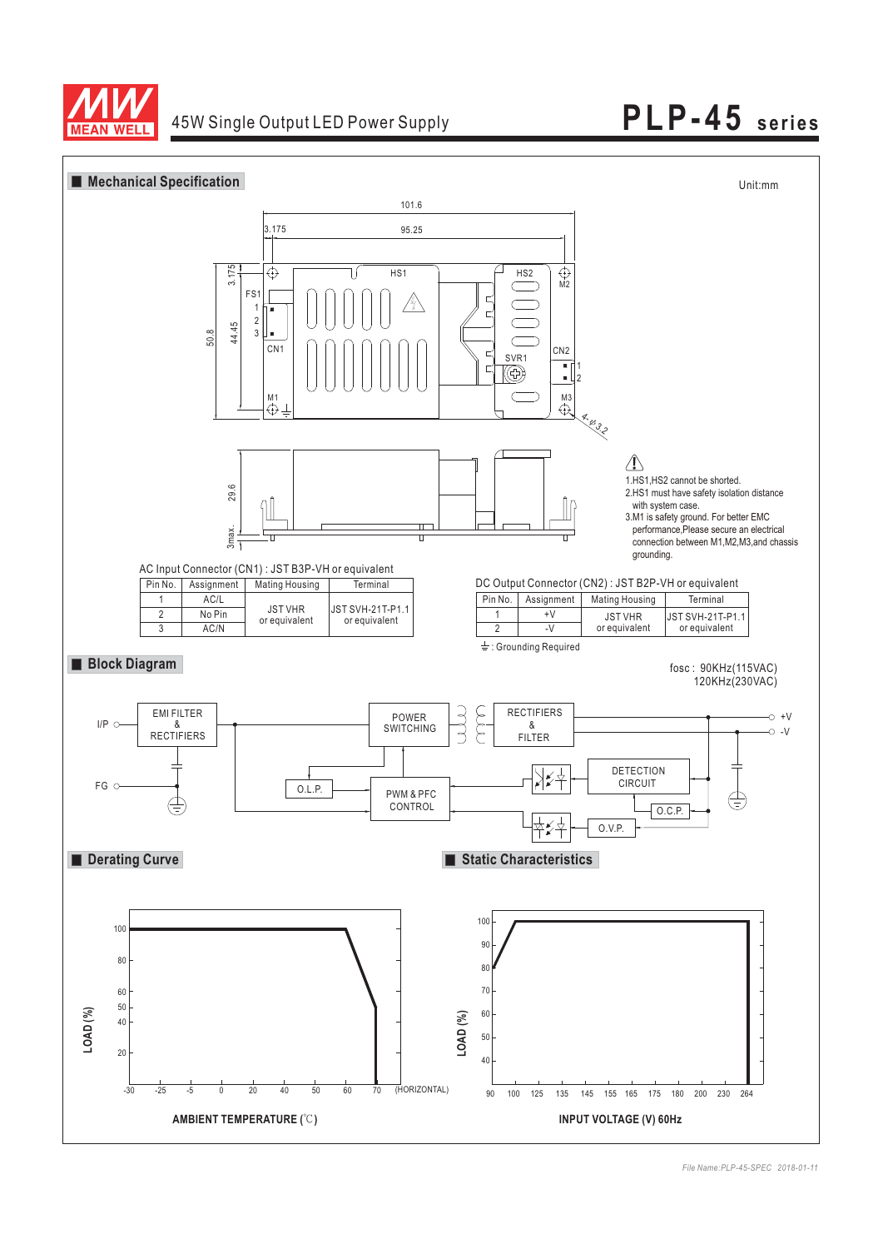

## 45W Single Output LED Power Supply **PLP-45 series**